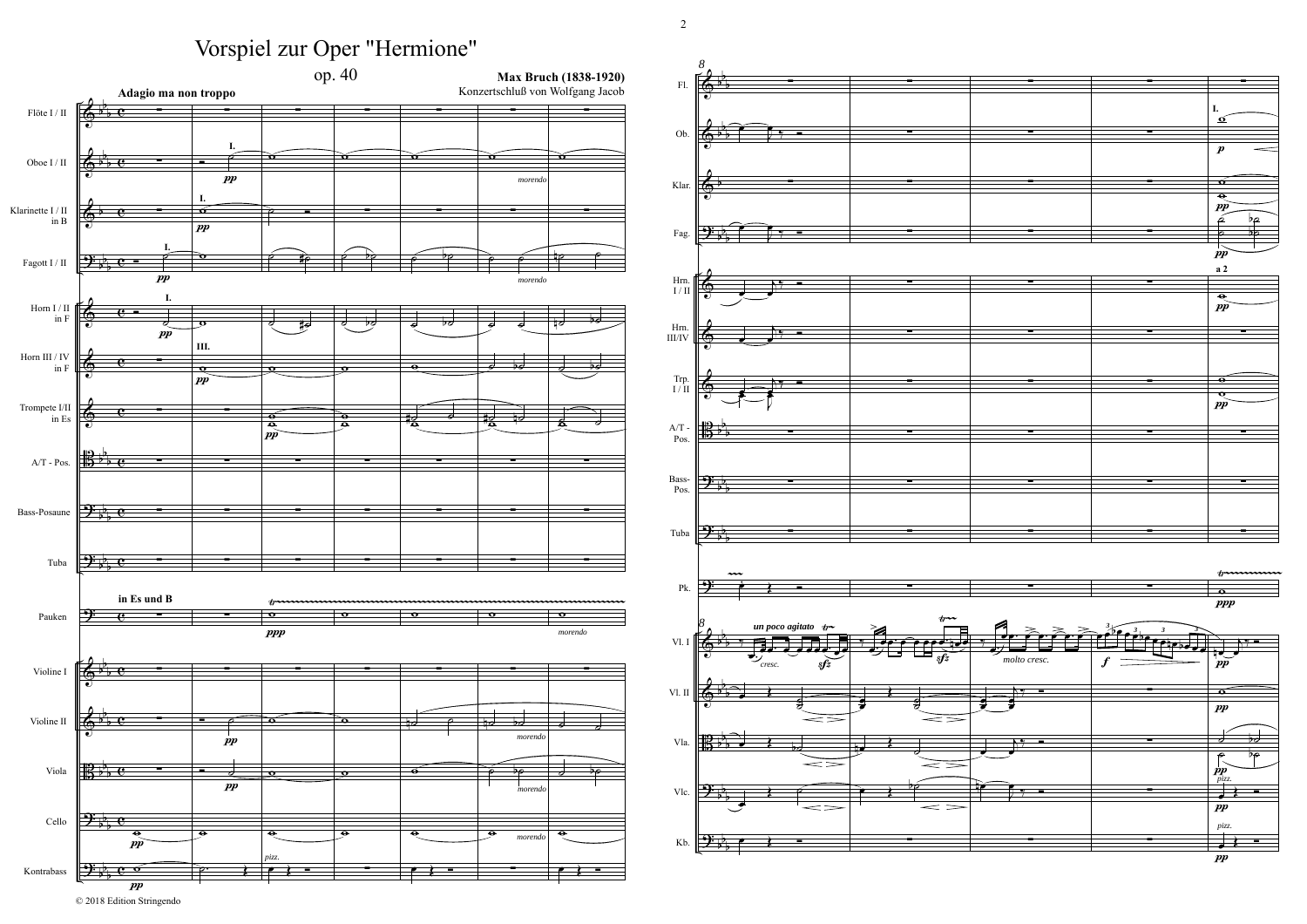## 2

## Vorspiel zur Oper "Hermione"



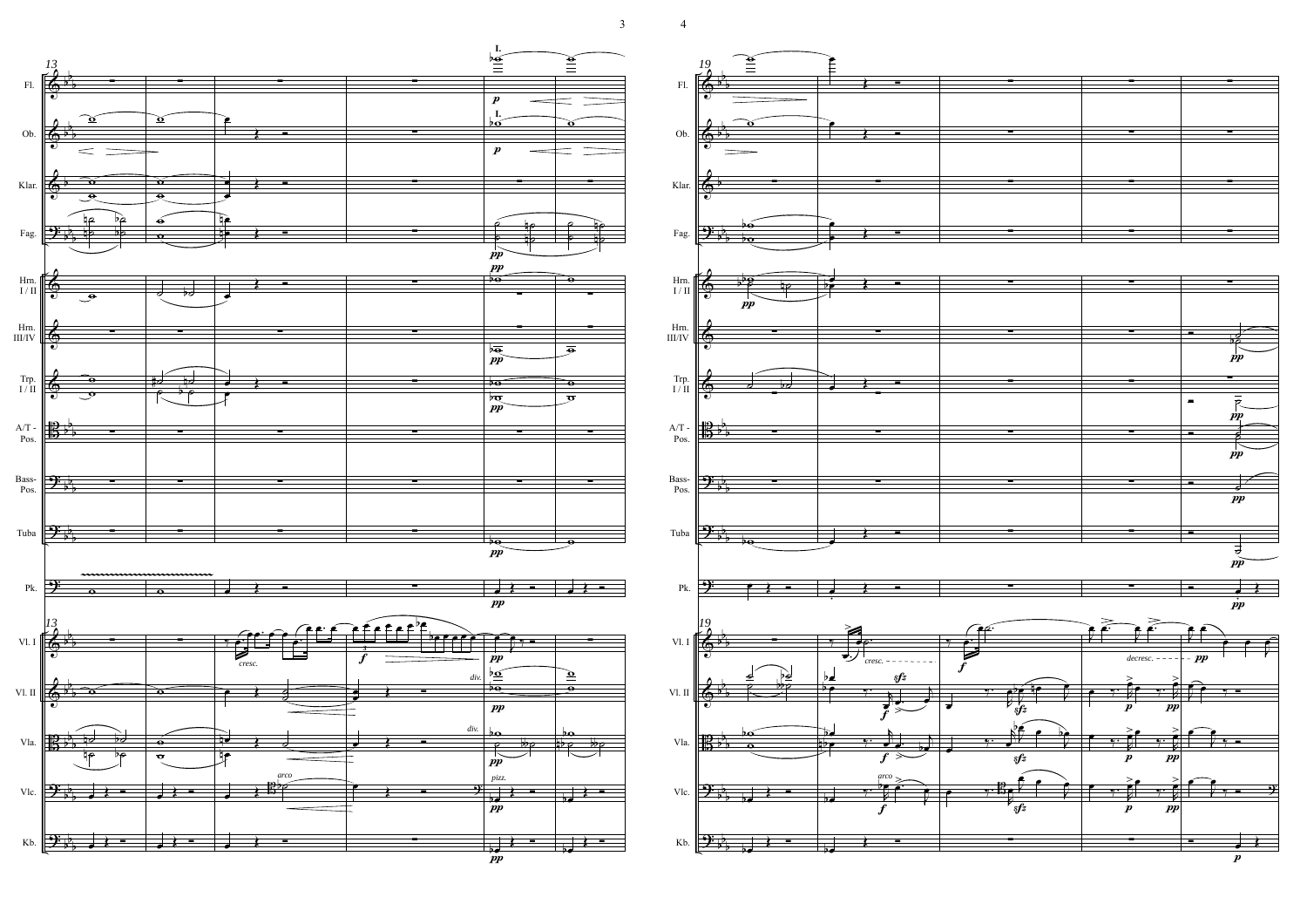

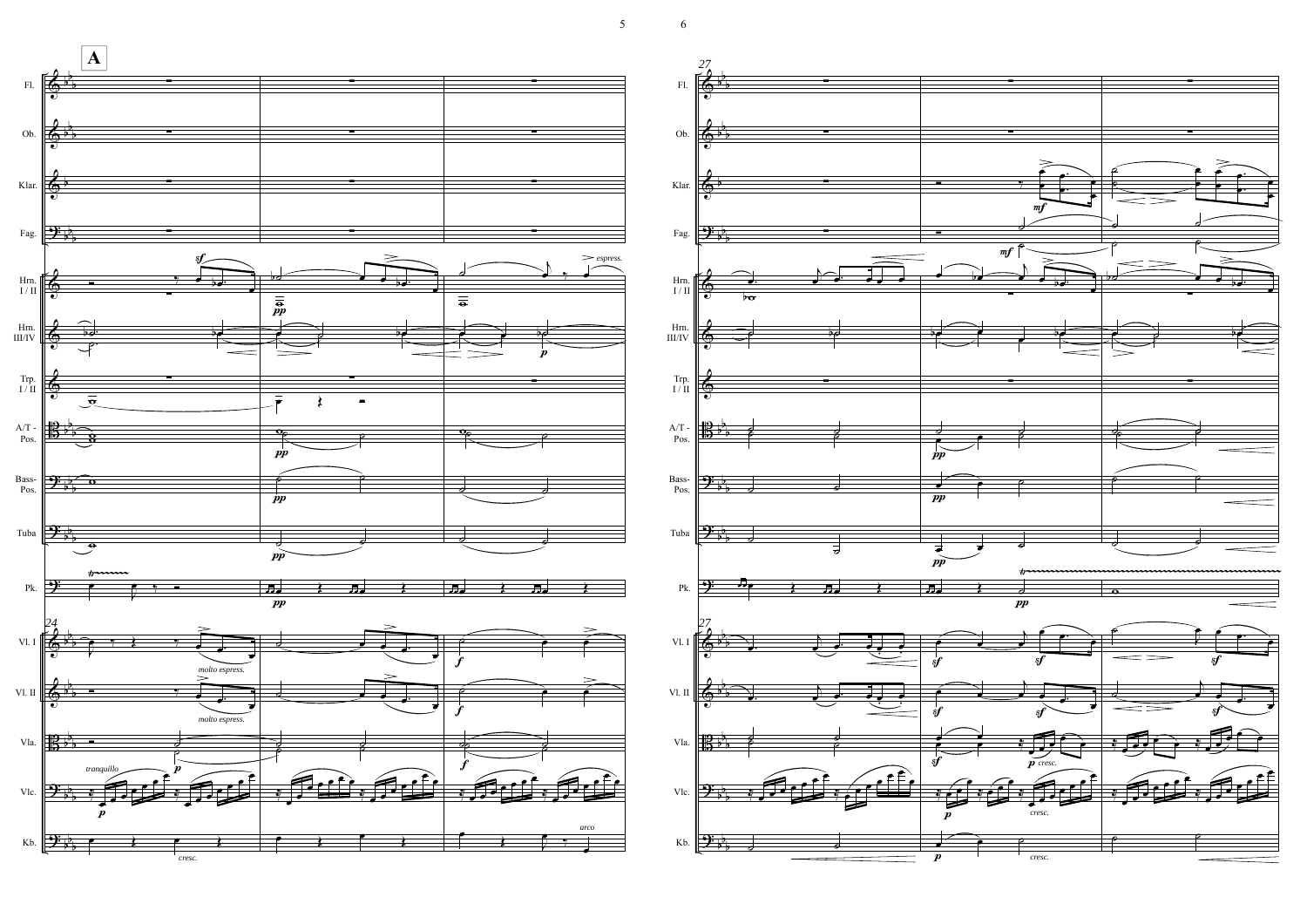

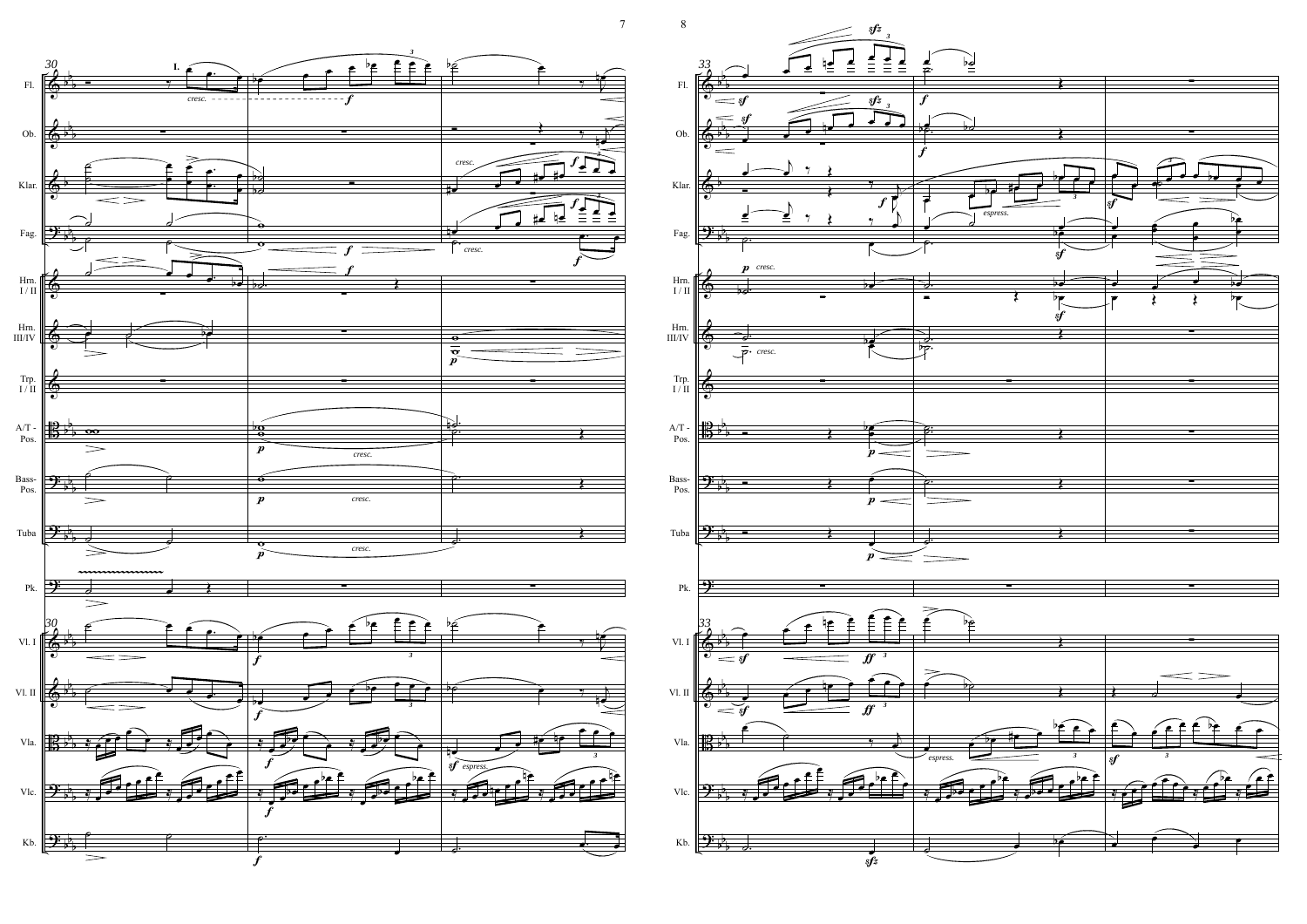



7